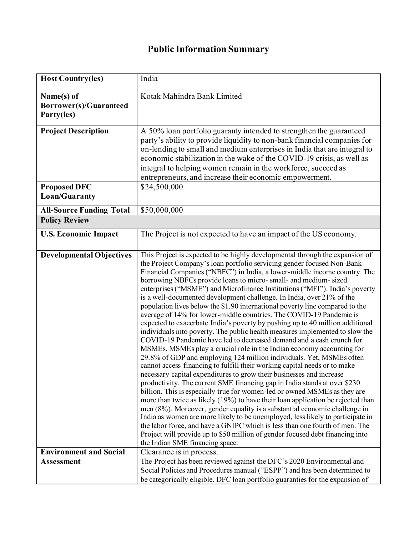## **Public Information Summary**

| <b>Host Country(ies)</b>                                  | India                                                                                                                                                                                                                                                                                                                                                                                                                                                                                                                                                                                                                                                                                                                                                                                                                                                                                                                                                                                                                                                                                                                                                                                                                                                                                                                                                                                                                                                                                                                                                                                                                                                                                                                                                                                   |
|-----------------------------------------------------------|-----------------------------------------------------------------------------------------------------------------------------------------------------------------------------------------------------------------------------------------------------------------------------------------------------------------------------------------------------------------------------------------------------------------------------------------------------------------------------------------------------------------------------------------------------------------------------------------------------------------------------------------------------------------------------------------------------------------------------------------------------------------------------------------------------------------------------------------------------------------------------------------------------------------------------------------------------------------------------------------------------------------------------------------------------------------------------------------------------------------------------------------------------------------------------------------------------------------------------------------------------------------------------------------------------------------------------------------------------------------------------------------------------------------------------------------------------------------------------------------------------------------------------------------------------------------------------------------------------------------------------------------------------------------------------------------------------------------------------------------------------------------------------------------|
| Name(s) of<br><b>Borrower(s)/Guaranteed</b><br>Party(ies) | Kotak Mahindra Bank Limited                                                                                                                                                                                                                                                                                                                                                                                                                                                                                                                                                                                                                                                                                                                                                                                                                                                                                                                                                                                                                                                                                                                                                                                                                                                                                                                                                                                                                                                                                                                                                                                                                                                                                                                                                             |
| <b>Project Description</b>                                | A 50% loan portfolio guaranty intended to strengthen the guaranteed<br>party's ability to provide liquidity to non-bank financial companies for<br>on-lending to small and medium enterprises in India that are integral to<br>economic stabilization in the wake of the COVID-19 crisis, as well as<br>integral to helping women remain in the workforce, succeed as<br>entrepreneurs, and increase their economic empowerment.                                                                                                                                                                                                                                                                                                                                                                                                                                                                                                                                                                                                                                                                                                                                                                                                                                                                                                                                                                                                                                                                                                                                                                                                                                                                                                                                                        |
| <b>Proposed DFC</b><br>Loan/Guaranty                      | \$24,500,000                                                                                                                                                                                                                                                                                                                                                                                                                                                                                                                                                                                                                                                                                                                                                                                                                                                                                                                                                                                                                                                                                                                                                                                                                                                                                                                                                                                                                                                                                                                                                                                                                                                                                                                                                                            |
| <b>All-Source Funding Total</b>                           | \$50,000,000                                                                                                                                                                                                                                                                                                                                                                                                                                                                                                                                                                                                                                                                                                                                                                                                                                                                                                                                                                                                                                                                                                                                                                                                                                                                                                                                                                                                                                                                                                                                                                                                                                                                                                                                                                            |
| <b>Policy Review</b>                                      |                                                                                                                                                                                                                                                                                                                                                                                                                                                                                                                                                                                                                                                                                                                                                                                                                                                                                                                                                                                                                                                                                                                                                                                                                                                                                                                                                                                                                                                                                                                                                                                                                                                                                                                                                                                         |
| <b>U.S. Economic Impact</b>                               | The Project is not expected to have an impact of the US economy.                                                                                                                                                                                                                                                                                                                                                                                                                                                                                                                                                                                                                                                                                                                                                                                                                                                                                                                                                                                                                                                                                                                                                                                                                                                                                                                                                                                                                                                                                                                                                                                                                                                                                                                        |
| <b>Developmental Objectives</b>                           | This Project is expected to be highly developmental through the expansion of<br>the Project Company's loan portfolio servicing gender focused Non-Bank<br>Financial Companies ("NBFC") in India, a lower-middle income country. The<br>borrowing NBFCs provide loans to micro-small- and medium-sized<br>enterprises ("MSME") and Microfinance Institutions ("MFI"). India's poverty<br>is a well-documented development challenge. In India, over 21% of the<br>population lives below the \$1.90 international poverty line compared to the<br>average of 14% for lower-middle countries. The COVID-19 Pandemic is<br>expected to exacerbate India's poverty by pushing up to 40 million additional<br>individuals into poverty. The public health measures implemented to slow the<br>COVID-19 Pandemic have led to decreased demand and a cash crunch for<br>MSMEs. MSMEs play a crucial role in the Indian economy accounting for<br>29.8% of GDP and employing 124 million individuals. Yet, MSMEs often<br>cannot access financing to fulfill their working capital needs or to make<br>necessary capital expenditures to grow their businesses and increase<br>productivity. The current SME financing gap in India stands at over \$230<br>billion. This is especially true for women-led or owned MSMEs as they are<br>more than twice as likely (19%) to have their loan application be rejected than<br>men $(8\%)$ . Moreover, gender equality is a substantial economic challenge in<br>India as women are more likely to be unemployed, less likely to participate in<br>the labor force, and have a GNIPC which is less than one fourth of men. The<br>Project will provide up to \$50 million of gender focused debt financing into<br>the Indian SME financing space. |
| <b>Environment and Social</b>                             | Clearance is in process.                                                                                                                                                                                                                                                                                                                                                                                                                                                                                                                                                                                                                                                                                                                                                                                                                                                                                                                                                                                                                                                                                                                                                                                                                                                                                                                                                                                                                                                                                                                                                                                                                                                                                                                                                                |
| <b>Assessment</b>                                         | The Project has been reviewed against the DFC's 2020 Environmental and                                                                                                                                                                                                                                                                                                                                                                                                                                                                                                                                                                                                                                                                                                                                                                                                                                                                                                                                                                                                                                                                                                                                                                                                                                                                                                                                                                                                                                                                                                                                                                                                                                                                                                                  |
|                                                           | Social Policies and Procedures manual ("ESPP") and has been determined to                                                                                                                                                                                                                                                                                                                                                                                                                                                                                                                                                                                                                                                                                                                                                                                                                                                                                                                                                                                                                                                                                                                                                                                                                                                                                                                                                                                                                                                                                                                                                                                                                                                                                                               |
|                                                           | be categorically eligible. DFC loan portfolio guaranties for the expansion of                                                                                                                                                                                                                                                                                                                                                                                                                                                                                                                                                                                                                                                                                                                                                                                                                                                                                                                                                                                                                                                                                                                                                                                                                                                                                                                                                                                                                                                                                                                                                                                                                                                                                                           |